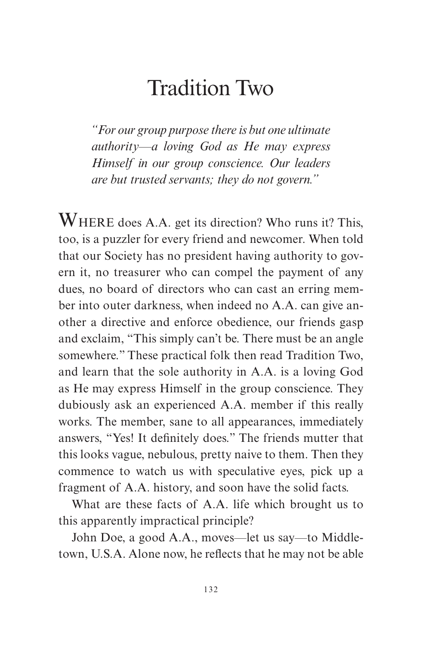## Tradition Two

*"For our group purpose there is but one ultimate authority—a loving God as He may express Himself in our group conscience. Our leaders are but trusted servants; they do not govern."*

WHERE does A.A. get its direction? Who runs it? This, too, is a puzzler for every friend and newcomer. When told that our Society has no president having authority to govern it, no treasurer who can compel the payment of any dues, no board of directors who can cast an erring member into outer darkness, when indeed no A.A. can give another a directive and enforce obedience, our friends gasp and exclaim, "This simply can't be. There must be an angle somewhere." These practical folk then read Tradition Two, and learn that the sole authority in A.A. is a loving God as He may express Himself in the group conscience. They dubiously ask an experienced A.A. member if this really works. The member, sane to all appearances, immediately answers, "Yes! It definitely does." The friends mutter that this looks vague, nebulous, pretty naive to them. Then they commence to watch us with speculative eyes, pick up a fragment of A.A. history, and soon have the solid facts.

What are these facts of A.A. life which brought us to this apparently impractical principle?

John Doe, a good A.A., moves—let us say—to Middletown, U.S.A. Alone now, he reflects that he may not be able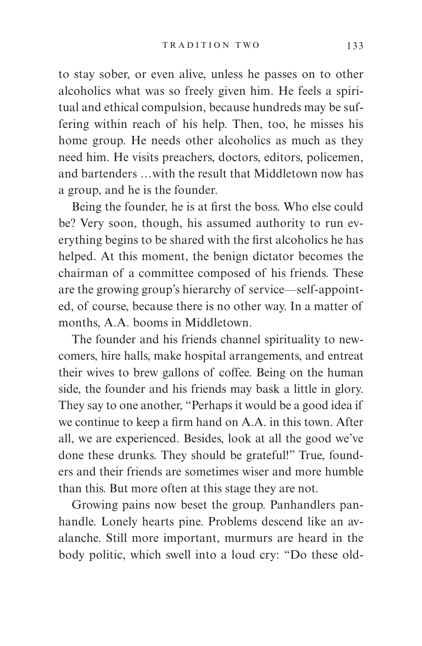to stay sober, or even alive, unless he passes on to other alcoholics what was so freely given him. He feels a spiritual and ethical compulsion, because hundreds may be suffering within reach of his help. Then, too, he misses his home group. He needs other alcoholics as much as they need him. He visits preachers, doctors, editors, policemen, and bartenders …with the result that Middletown now has a group, and he is the founder.

Being the founder, he is at first the boss. Who else could be? Very soon, though, his assumed authority to run everything begins to be shared with the first alcoholics he has helped. At this moment, the benign dictator becomes the chairman of a committee composed of his friends. These are the growing group's hierarchy of service—self-appointed, of course, because there is no other way. In a matter of months, A.A. booms in Middletown.

The founder and his friends channel spirituality to newcomers, hire halls, make hospital arrangements, and entreat their wives to brew gallons of coffee. Being on the human side, the founder and his friends may bask a little in glory. They say to one another, "Perhaps it would be a good idea if we continue to keep a firm hand on A.A. in this town. After all, we are experienced. Besides, look at all the good we've done these drunks. They should be grateful!" True, founders and their friends are sometimes wiser and more humble than this. But more often at this stage they are not.

Growing pains now beset the group. Panhandlers panhandle. Lonely hearts pine. Problems descend like an avalanche. Still more important, murmurs are heard in the body politic, which swell into a loud cry: "Do these old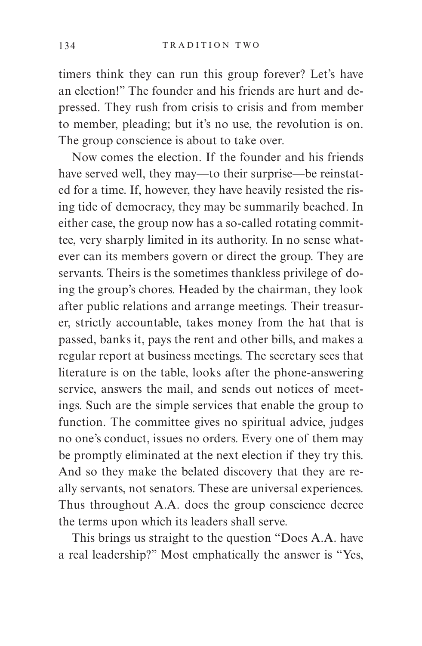timers think they can run this group forever? Let's have an election!" The founder and his friends are hurt and depressed. They rush from crisis to crisis and from member to member, pleading; but it's no use, the revolution is on. The group conscience is about to take over.

Now comes the election. If the founder and his friends have served well, they may—to their surprise—be reinstated for a time. If, however, they have heavily resisted the rising tide of democracy, they may be summarily beached. In either case, the group now has a so-called rotating committee, very sharply limited in its authority. In no sense whatever can its members govern or direct the group. They are servants. Theirs is the sometimes thankless privilege of doing the group's chores. Headed by the chairman, they look after public relations and arrange meetings. Their treasurer, strictly accountable, takes money from the hat that is passed, banks it, pays the rent and other bills, and makes a regular report at business meetings. The secretary sees that literature is on the table, looks after the phone-answering service, answers the mail, and sends out notices of meetings. Such are the simple services that enable the group to function. The committee gives no spiritual advice, judges no one's conduct, issues no orders. Every one of them may be promptly eliminated at the next election if they try this. And so they make the belated discovery that they are really servants, not senators. These are universal experiences. Thus throughout A.A. does the group conscience decree the terms upon which its leaders shall serve.

This brings us straight to the question "Does A.A. have a real leadership?" Most emphatically the answer is "Yes,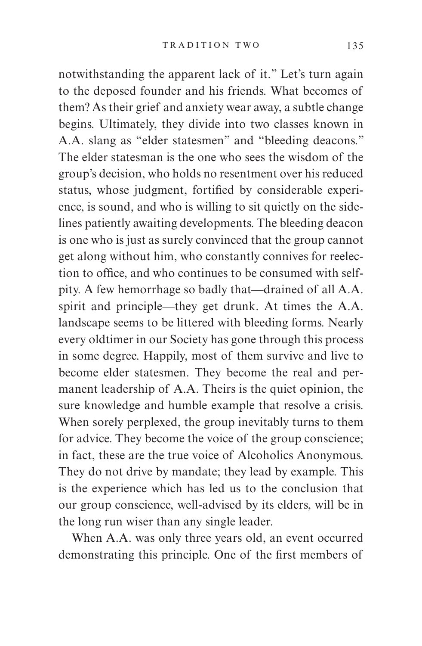notwithstanding the apparent lack of it." Let's turn again to the deposed founder and his friends. What becomes of them? As their grief and anxiety wear away, a subtle change begins. Ultimately, they divide into two classes known in A.A. slang as "elder statesmen" and "bleeding deacons." The elder statesman is the one who sees the wisdom of the group's decision, who holds no resentment over his reduced status, whose judgment, fortified by considerable experience, is sound, and who is willing to sit quietly on the sidelines patiently awaiting developments. The bleeding deacon is one who is just as surely convinced that the group cannot get along without him, who constantly connives for reelection to office, and who continues to be consumed with selfpity. A few hemorrhage so badly that—drained of all A.A. spirit and principle—they get drunk. At times the A.A. landscape seems to be littered with bleeding forms. Nearly every oldtimer in our Society has gone through this process in some degree. Happily, most of them survive and live to become elder statesmen. They become the real and permanent leadership of A.A. Theirs is the quiet opinion, the sure knowledge and humble example that resolve a crisis. When sorely perplexed, the group inevitably turns to them for advice. They become the voice of the group conscience; in fact, these are the true voice of Alcoholics Anonymous. They do not drive by mandate; they lead by example. This is the experience which has led us to the conclusion that our group conscience, well-advised by its elders, will be in the long run wiser than any single leader.

When A.A. was only three years old, an event occurred demonstrating this principle. One of the first members of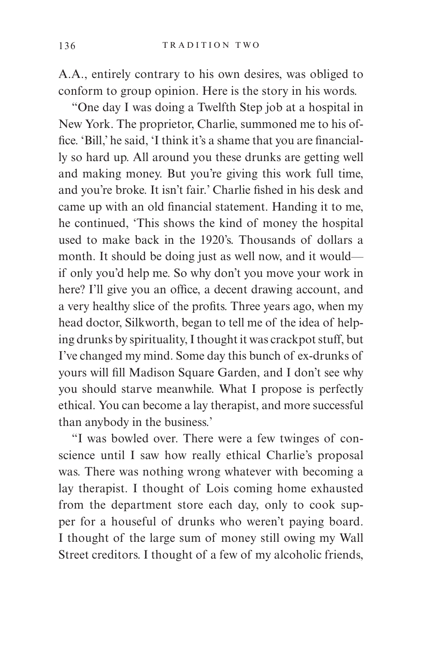A.A., entirely contrary to his own desires, was obliged to conform to group opinion. Here is the story in his words.

"One day I was doing a Twelfth Step job at a hospital in New York. The proprietor, Charlie, summoned me to his office. 'Bill,' he said, 'I think it's a shame that you are financially so hard up. All around you these drunks are getting well and making money. But you're giving this work full time, and you're broke. It isn't fair.' Charlie fished in his desk and came up with an old financial statement. Handing it to me, he continued, 'This shows the kind of money the hospital used to make back in the 1920's. Thousands of dollars a month. It should be doing just as well now, and it would if only you'd help me. So why don't you move your work in here? I'll give you an office, a decent drawing account, and a very healthy slice of the profits. Three years ago, when my head doctor, Silkworth, began to tell me of the idea of helping drunks by spirituality, I thought it was crackpot stuff, but I've changed my mind. Some day this bunch of ex-drunks of yours will fill Madison Square Garden, and I don't see why you should starve meanwhile. What I propose is perfectly ethical. You can become a lay therapist, and more successful than anybody in the business.'

"I was bowled over. There were a few twinges of conscience until I saw how really ethical Charlie's proposal was. There was nothing wrong whatever with becoming a lay therapist. I thought of Lois coming home exhausted from the department store each day, only to cook supper for a houseful of drunks who weren't paying board. I thought of the large sum of money still owing my Wall Street creditors. I thought of a few of my alcoholic friends,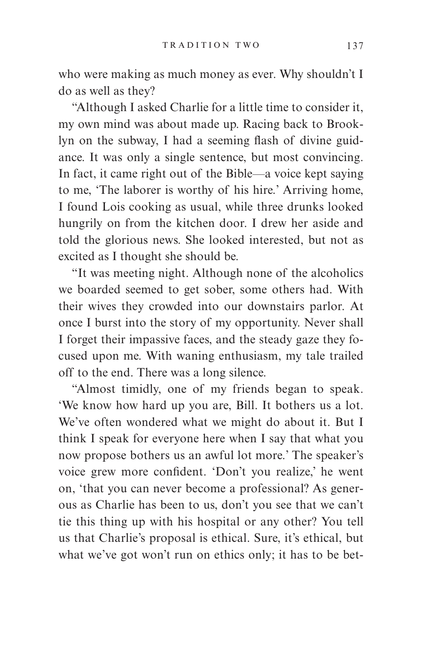who were making as much money as ever. Why shouldn't I do as well as they?

"Although I asked Charlie for a little time to consider it, my own mind was about made up. Racing back to Brooklyn on the subway, I had a seeming flash of divine guidance. It was only a single sentence, but most convincing. In fact, it came right out of the Bible—a voice kept saying to me, 'The laborer is worthy of his hire.' Arriving home, I found Lois cooking as usual, while three drunks looked hungrily on from the kitchen door. I drew her aside and told the glorious news. She looked interested, but not as excited as I thought she should be.

"It was meeting night. Although none of the alcoholics we boarded seemed to get sober, some others had. With their wives they crowded into our downstairs parlor. At once I burst into the story of my opportunity. Never shall I forget their impassive faces, and the steady gaze they focused upon me. With waning enthusiasm, my tale trailed off to the end. There was a long silence.

"Almost timidly, one of my friends began to speak. 'We know how hard up you are, Bill. It bothers us a lot. We've often wondered what we might do about it. But I think I speak for everyone here when I say that what you now propose bothers us an awful lot more.' The speaker's voice grew more confident. 'Don't you realize,' he went on, 'that you can never become a professional? As generous as Charlie has been to us, don't you see that we can't tie this thing up with his hospital or any other? You tell us that Charlie's proposal is ethical. Sure, it's ethical, but what we've got won't run on ethics only; it has to be bet-